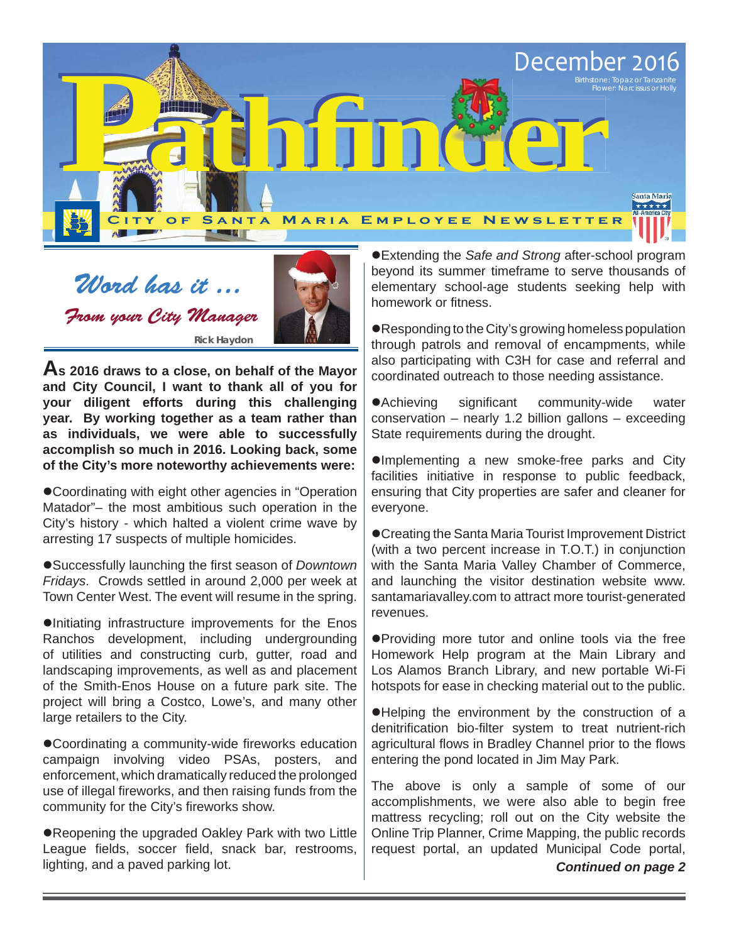

Word has it ... From your City Manager **Rick Haydon**



**As 2016 draws to a close, on behalf of the Mayor and City Council, I want to thank all of you for your diligent efforts during this challenging year. By working together as a team rather than as individuals, we were able to successfully accomplish so much in 2016. Looking back, some of the City's more noteworthy achievements were:**

Coordinating with eight other agencies in "Operation Matador"– the most ambitious such operation in the City's history - which halted a violent crime wave by arresting 17 suspects of multiple homicides.

**Successfully launching the first season of** *Downtown Fridays*. Crowds settled in around 2,000 per week at Town Center West. The event will resume in the spring.

Initiating infrastructure improvements for the Enos Ranchos development, including undergrounding of utilities and constructing curb, gutter, road and landscaping improvements, as well as and placement of the Smith-Enos House on a future park site. The project will bring a Costco, Lowe's, and many other large retailers to the City.

● Coordinating a community-wide fireworks education campaign involving video PSAs, posters, and enforcement, which dramatically reduced the prolonged use of illegal fireworks, and then raising funds from the community for the City's fireworks show.

Reopening the upgraded Oakley Park with two Little League fields, soccer field, snack bar, restrooms, lighting, and a paved parking lot.

Extending the *Safe and Strong* after-school program beyond its summer timeframe to serve thousands of elementary school-age students seeking help with homework or fitness.

Responding to the City's growing homeless population through patrols and removal of encampments, while also participating with C3H for case and referral and coordinated outreach to those needing assistance.

• Achieving significant community-wide water conservation – nearly 1.2 billion gallons – exceeding State requirements during the drought.

Implementing a new smoke-free parks and City facilities initiative in response to public feedback, ensuring that City properties are safer and cleaner for everyone.

Creating the Santa Maria Tourist Improvement District (with a two percent increase in T.O.T.) in conjunction with the Santa Maria Valley Chamber of Commerce, and launching the visitor destination website www. santamariavalley.com to attract more tourist-generated revenues.

Providing more tutor and online tools via the free Homework Help program at the Main Library and Los Alamos Branch Library, and new portable Wi-Fi hotspots for ease in checking material out to the public.

Helping the environment by the construction of a denitrification bio-filter system to treat nutrient-rich agricultural flows in Bradley Channel prior to the flows entering the pond located in Jim May Park.

The above is only a sample of some of our accomplishments, we were also able to begin free mattress recycling; roll out on the City website the Online Trip Planner, Crime Mapping, the public records request portal, an updated Municipal Code portal, *Continued on page 2*